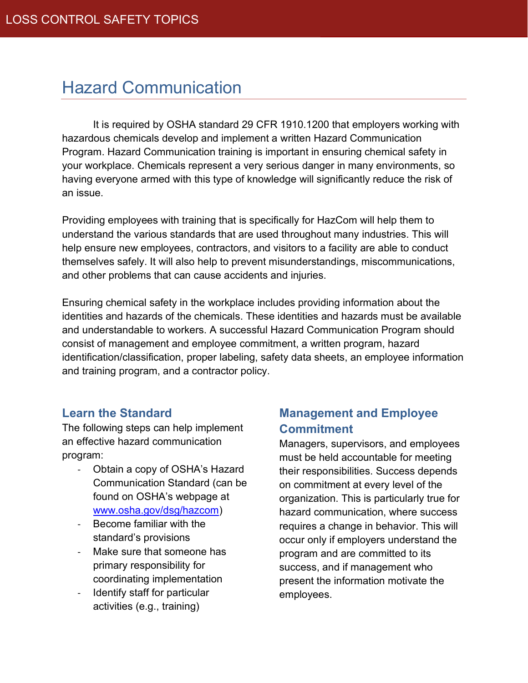# Hazard Communication

It is required by OSHA standard 29 CFR 1910.1200 that employers working with hazardous chemicals develop and implement a written Hazard Communication Program. Hazard Communication training is important in ensuring chemical safety in your workplace. Chemicals represent a very serious danger in many environments, so having everyone armed with this type of knowledge will significantly reduce the risk of an issue.

Providing employees with training that is specifically for HazCom will help them to understand the various standards that are used throughout many industries. This will help ensure new employees, contractors, and visitors to a facility are able to conduct themselves safely. It will also help to prevent misunderstandings, miscommunications, and other problems that can cause accidents and injuries.

Ensuring chemical safety in the workplace includes providing information about the identities and hazards of the chemicals. These identities and hazards must be available and understandable to workers. A successful Hazard Communication Program should consist of management and employee commitment, a written program, hazard identification/classification, proper labeling, safety data sheets, an employee information and training program, and a contractor policy.

#### Learn the Standard

The following steps can help implement an effective hazard communication program:

- Obtain a copy of OSHA's Hazard Communication Standard (can be found on OSHA's webpage at www.osha.gov/dsg/hazcom)
- Become familiar with the standard's provisions
- Make sure that someone has primary responsibility for coordinating implementation
- Identify staff for particular activities (e.g., training)

## Management and Employee **Commitment**

Managers, supervisors, and employees must be held accountable for meeting their responsibilities. Success depends on commitment at every level of the organization. This is particularly true for hazard communication, where success requires a change in behavior. This will occur only if employers understand the program and are committed to its success, and if management who present the information motivate the employees.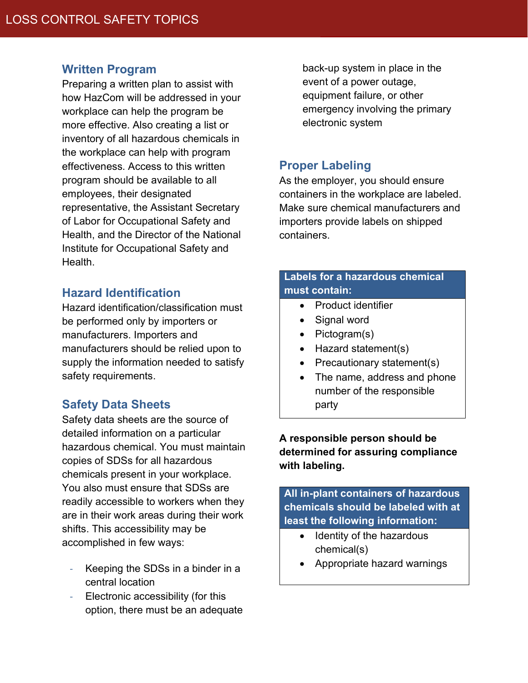#### Written Program

Preparing a written plan to assist with how HazCom will be addressed in your workplace can help the program be more effective. Also creating a list or inventory of all hazardous chemicals in the workplace can help with program effectiveness. Access to this written program should be available to all employees, their designated representative, the Assistant Secretary of Labor for Occupational Safety and Health, and the Director of the National Institute for Occupational Safety and Health.

#### Hazard Identification

Hazard identification/classification must be performed only by importers or manufacturers. Importers and manufacturers should be relied upon to supply the information needed to satisfy safety requirements.

### Safety Data Sheets

Safety data sheets are the source of detailed information on a particular hazardous chemical. You must maintain copies of SDSs for all hazardous chemicals present in your workplace. You also must ensure that SDSs are readily accessible to workers when they are in their work areas during their work shifts. This accessibility may be accomplished in few ways:

- Keeping the SDSs in a binder in a central location
- Electronic accessibility (for this option, there must be an adequate

back-up system in place in the event of a power outage, equipment failure, or other emergency involving the primary electronic system

#### Proper Labeling

As the employer, you should ensure containers in the workplace are labeled. Make sure chemical manufacturers and importers provide labels on shipped containers.

## Labels for a hazardous chemical must contain:

- Product identifier
- Signal word
- $\bullet$  Pictogram(s)
- Hazard statement(s)
- Precautionary statement(s)
- The name, address and phone number of the responsible party

#### A responsible person should be determined for assuring compliance with labeling.

All in-plant containers of hazardous chemicals should be labeled with at least the following information:

- Identity of the hazardous chemical(s)
- Appropriate hazard warnings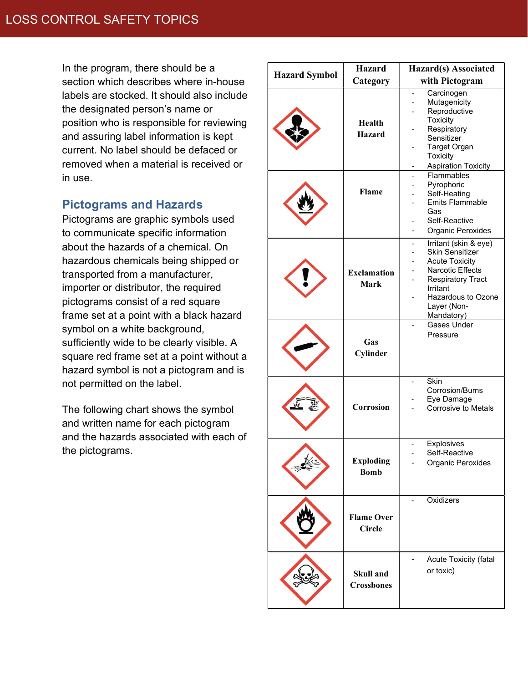In the program, there should be a section which describes where in-house labels are stocked. It should also include the designated person's name or position who is responsible for reviewing and assuring label information is kept current. No label should be defaced or removed when a material is received or in use.

## Pictograms and Hazards

Pictograms are graphic symbols used to communicate specific information about the hazards of a chemical. On hazardous chemicals being shipped or transported from a manufacturer, importer or distributor, the required pictograms consist of a red square frame set at a point with a black hazard symbol on a white background, sufficiently wide to be clearly visible. A square red frame set at a point without a hazard symbol is not a pictogram and is not permitted on the label.

The following chart shows the symbol and written name for each pictogram and the hazards associated with each of the pictograms.

|                      | <b>Hazard</b>                         | Hazard(s) Associated                                                                                                                                                                    |
|----------------------|---------------------------------------|-----------------------------------------------------------------------------------------------------------------------------------------------------------------------------------------|
| <b>Hazard Symbol</b> | Category                              | with Pictogram                                                                                                                                                                          |
|                      | Health<br><b>Hazard</b>               | Carcinogen<br>Mutagenicity<br>Reproductive<br><b>Toxicity</b><br>Respiratory<br>Sensitizer<br><b>Target Organ</b><br><b>Toxicity</b><br><b>Aspiration Toxicity</b>                      |
|                      | Flame                                 | <b>Flammables</b><br>Pyrophoric<br>Self-Heating<br><b>Emits Flammable</b><br>Gas<br>Self-Reactive<br>Organic Peroxides                                                                  |
|                      | <b>Exclamation</b><br><b>Mark</b>     | Irritant (skin & eye)<br><b>Skin Sensitizer</b><br><b>Acute Toxicity</b><br>Narcotic Effects<br><b>Respiratory Tract</b><br>Irritant<br>Hazardous to Ozone<br>Layer (Non-<br>Mandatory) |
|                      | Gas<br>Cylinder                       | Gases Under<br>Pressure                                                                                                                                                                 |
|                      | Corrosion                             | Skin<br>Corrosion/Burns<br>Eye Damage<br>Corrosive to Metals                                                                                                                            |
|                      | <b>Exploding</b><br><b>Bomb</b>       | Explosives<br>Self-Reactive<br>Organic Peroxides                                                                                                                                        |
|                      | <b>Flame Over</b><br><b>Circle</b>    | Oxidizers<br>÷.                                                                                                                                                                         |
|                      | <b>Skull and</b><br><b>Crossbones</b> | Acute Toxicity (fatal<br>or toxic)                                                                                                                                                      |